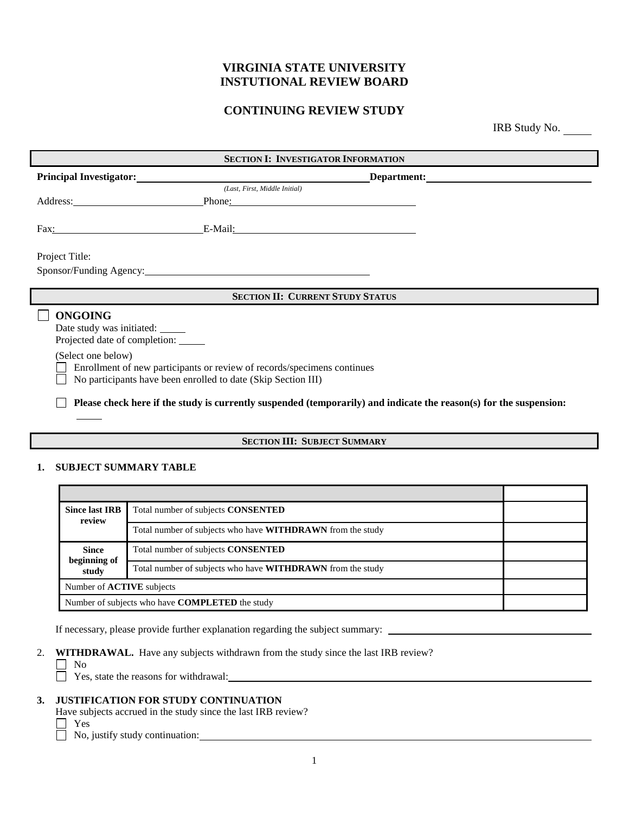# **VIRGINIA STATE UNIVERSITY INSTUTIONAL REVIEW BOARD**

# **CONTINUING REVIEW STUDY**

IRB Study No.

| <b>SECTION I: INVESTIGATOR INFORMATION</b>                                          |                                                                                                                                          |                                                                                                                                                                                                                                |  |  |
|-------------------------------------------------------------------------------------|------------------------------------------------------------------------------------------------------------------------------------------|--------------------------------------------------------------------------------------------------------------------------------------------------------------------------------------------------------------------------------|--|--|
| <b>Principal Investigator:</b>                                                      |                                                                                                                                          | Department: New York School School School School School School School School School School School School School School School School School School School School School School School School School School School School Schoo |  |  |
|                                                                                     | (Last, First, Middle Initial)                                                                                                            |                                                                                                                                                                                                                                |  |  |
| Address: No. 1996                                                                   | Phone:                                                                                                                                   |                                                                                                                                                                                                                                |  |  |
|                                                                                     | Fax: E-Mail: E-Mail:                                                                                                                     |                                                                                                                                                                                                                                |  |  |
| Project Title:                                                                      |                                                                                                                                          |                                                                                                                                                                                                                                |  |  |
| Sponsor/Funding Agency: 2008. [2010] Sponsor/Funding Agency:                        |                                                                                                                                          |                                                                                                                                                                                                                                |  |  |
| <b>SECTION II: CURRENT STUDY STATUS</b>                                             |                                                                                                                                          |                                                                                                                                                                                                                                |  |  |
| <b>ONGOING</b><br>Date study was initiated: ______<br>Projected date of completion: |                                                                                                                                          |                                                                                                                                                                                                                                |  |  |
| (Select one below)                                                                  | Enrollment of new participants or review of records/specimens continues<br>No participants have been enrolled to date (Skip Section III) |                                                                                                                                                                                                                                |  |  |
|                                                                                     |                                                                                                                                          | Please check here if the study is currently suspended (temporarily) and indicate the reason(s) for the suspension:                                                                                                             |  |  |
| <b>SECTION III</b> · SIRIECT SIMMADV                                                |                                                                                                                                          |                                                                                                                                                                                                                                |  |  |

## **SECTION III: SUBJECT SUMMARY**

#### **1. SUBJECT SUMMARY TABLE**

| <b>Since last IRB</b><br>review                        | Total number of subjects CONSENTED                                |  |
|--------------------------------------------------------|-------------------------------------------------------------------|--|
|                                                        | Total number of subjects who have <b>WITHDRAWN</b> from the study |  |
| <b>Since</b><br>beginning of<br>study                  | Total number of subjects <b>CONSENTED</b>                         |  |
|                                                        | Total number of subjects who have <b>WITHDRAWN</b> from the study |  |
| Number of <b>ACTIVE</b> subjects                       |                                                                   |  |
| Number of subjects who have <b>COMPLETED</b> the study |                                                                   |  |

If necessary, please provide further explanation regarding the subject summary:

2. **WITHDRAWAL.** Have any subjects withdrawn from the study since the last IRB review?

 $\Box$  No

Yes, state the reasons for withdrawal:

### **3. JUSTIFICATION FOR STUDY CONTINUATION**

Have subjects accrued in the study since the last IRB review?

□ Yes

No, justify study continuation: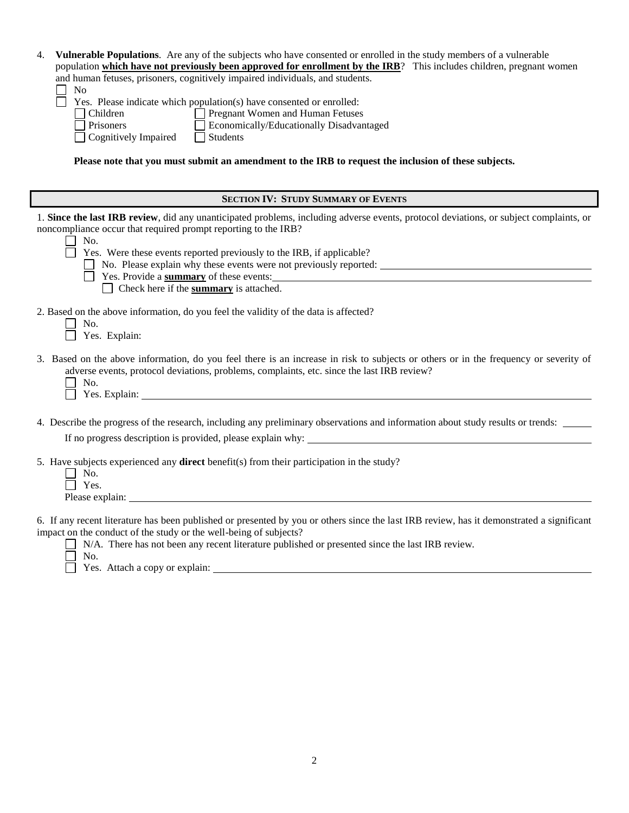| Vulnerable Populations. Are any of the subjects who have consented or enrolled in the study members of a vulnerable<br>4.<br>population which have not previously been approved for enrollment by the IRB? This includes children, pregnant women<br>and human fetuses, prisoners, cognitively impaired individuals, and students.<br>No<br>Yes. Please indicate which population(s) have consented or enrolled:<br>Pregnant Women and Human Fetuses<br>Children<br>Economically/Educationally Disadvantaged<br>Prisoners<br>Cognitively Impaired<br>$\Box$ Students<br>Please note that you must submit an amendment to the IRB to request the inclusion of these subjects. |
|------------------------------------------------------------------------------------------------------------------------------------------------------------------------------------------------------------------------------------------------------------------------------------------------------------------------------------------------------------------------------------------------------------------------------------------------------------------------------------------------------------------------------------------------------------------------------------------------------------------------------------------------------------------------------|
| <b>SECTION IV: STUDY SUMMARY OF EVENTS</b>                                                                                                                                                                                                                                                                                                                                                                                                                                                                                                                                                                                                                                   |
| 1. Since the last IRB review, did any unanticipated problems, including adverse events, protocol deviations, or subject complaints, or<br>noncompliance occur that required prompt reporting to the IRB?<br>No.<br>Yes. Were these events reported previously to the IRB, if applicable?<br>$\Box$ No. Please explain why these events were not previously reported:<br>Yes. Provide a summary of these events:<br>$\Box$ Check here if the <b>summary</b> is attached.                                                                                                                                                                                                      |
| 2. Based on the above information, do you feel the validity of the data is affected?<br>No.<br>Yes. Explain:                                                                                                                                                                                                                                                                                                                                                                                                                                                                                                                                                                 |
| 3. Based on the above information, do you feel there is an increase in risk to subjects or others or in the frequency or severity of<br>adverse events, protocol deviations, problems, complaints, etc. since the last IRB review?<br>No.<br>Yes. Explain:                                                                                                                                                                                                                                                                                                                                                                                                                   |
| 4. Describe the progress of the research, including any preliminary observations and information about study results or trends:                                                                                                                                                                                                                                                                                                                                                                                                                                                                                                                                              |
| 5. Have subjects experienced any direct benefit(s) from their participation in the study?<br>No.<br>Yes.                                                                                                                                                                                                                                                                                                                                                                                                                                                                                                                                                                     |
| 6. If any recent literature has been published or presented by you or others since the last IRB review, has it demonstrated a significant<br>impact on the conduct of the study or the well-being of subjects?<br>N/A. There has not been any recent literature published or presented since the last IRB review.<br>No.                                                                                                                                                                                                                                                                                                                                                     |

Yes. Attach a copy or explain: